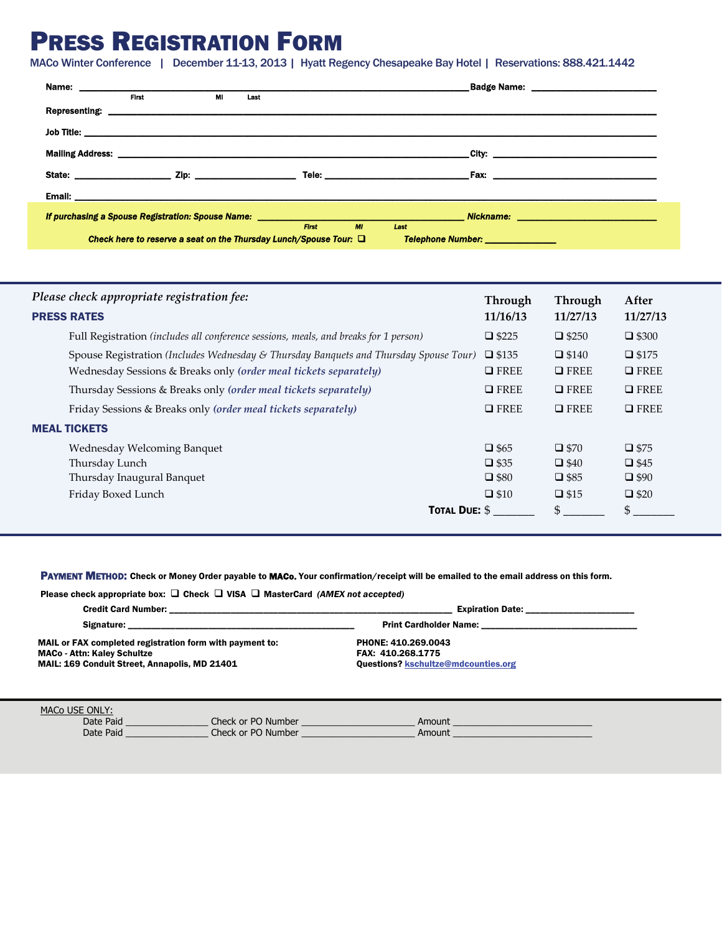# PRESS REGISTRATION FORM

MACo Winter Conference | December 11-13, 2013 | Hyatt Regency Chesapeake Bay Hotel | Reservations: 888.421.1442

|               | <b>First</b> | MI | Last                                                                   |              |    |                                                                                                                      |                                                          |
|---------------|--------------|----|------------------------------------------------------------------------|--------------|----|----------------------------------------------------------------------------------------------------------------------|----------------------------------------------------------|
| Representing: |              |    |                                                                        |              |    | <u> 2000 - 2000 - 2000 - 2000 - 2000 - 2000 - 2000 - 2000 - 2000 - 2000 - 2000 - 2000 - 2000 - 2000 - 2000 - 200</u> |                                                          |
|               |              |    |                                                                        |              |    |                                                                                                                      |                                                          |
|               |              |    |                                                                        |              |    |                                                                                                                      |                                                          |
|               |              |    |                                                                        |              |    |                                                                                                                      |                                                          |
|               |              |    |                                                                        |              |    |                                                                                                                      |                                                          |
|               |              |    |                                                                        |              |    |                                                                                                                      |                                                          |
|               |              |    |                                                                        |              |    |                                                                                                                      |                                                          |
|               |              |    |                                                                        | <b>First</b> | MI | Last                                                                                                                 |                                                          |
|               |              |    | Check here to reserve a seat on the Thursday Lunch/Spouse Tour: $\Box$ |              |    |                                                                                                                      | Telephone Number: National Property of Telephone Numbers |

| Please check appropriate registration fee:                                            | Through        | <b>Through</b> | After          |
|---------------------------------------------------------------------------------------|----------------|----------------|----------------|
| <b>PRESS RATES</b>                                                                    | 11/16/13       | 11/27/13       | 11/27/13       |
| Full Registration (includes all conference sessions, meals, and breaks for 1 person)  | $\Box$ \$225   | $\Box$ \$250   | $\Box$ \$300   |
| Spouse Registration (Includes Wednesday & Thursday Banquets and Thursday Spouse Tour) | $\Box$ \$135   | $\Box$ \$140   | $\Box$ \$175   |
| Wednesday Sessions & Breaks only (order meal tickets separately)                      | $\Box$ FREE    | $I$ FREE       | $\Box$ FREE    |
| Thursday Sessions & Breaks only (order meal tickets separately)                       | $\Box$ FREE    | $I$ FREE       | $\Box$ FREE    |
| Friday Sessions & Breaks only (order meal tickets separately)                         | $\Box$ FREE    | $I$ FREE       | $\Box$ FREE    |
| <b>MEAL TICKETS</b>                                                                   |                |                |                |
| Wednesday Welcoming Banquet                                                           | $\square$ \$65 | $\square$ \$70 | $\square$ \$75 |
| Thursday Lunch                                                                        | $\Box$ \$35    | $\Box$ \$40    | $\Box$ \$45    |
| Thursday Inaugural Banquet                                                            | $\square$ \$80 | $\square$ \$85 | $\Box$ \$90    |
| Friday Boxed Lunch                                                                    | $\square$ \$10 | $\square$ \$15 | $\Box$ \$20    |
| <b>TOTAL DUE: \$</b>                                                                  |                | \$             | \$             |

PAYMENT METHOD: Check or Money Order payable to MACo. Your confirmation/receipt will be emailed to the email address on this form.

| Please check appropriate box: $\Box$ Check $\Box$ VISA $\Box$ MasterCard (AMEX not accepted) |                               |  |  |  |  |
|----------------------------------------------------------------------------------------------|-------------------------------|--|--|--|--|
| <b>Credit Card Number:</b>                                                                   | <b>Expiration Date:</b>       |  |  |  |  |
| Signature:                                                                                   | <b>Print Cardholder Name:</b> |  |  |  |  |
| MAIL or FAX completed registration form with payment to:                                     | PHONE: 410.269.0043           |  |  |  |  |
|                                                                                              | <b>FAV. 440 800 4775</b>      |  |  |  |  |

MACo - Attn: Kaley Schultze MAIL: 169 Conduit Street, Annapolis, MD 21401

FAX: 410.268.1775 Questions? [kschultze@mdcounties.org](mailto:kschultze@mdcounties.org) 

| MACo USE ONLY: |                    |        |  |
|----------------|--------------------|--------|--|
| Date Paid      | Check or PO Number | Amount |  |
| Date Paid      | Check or PO Number | Amount |  |